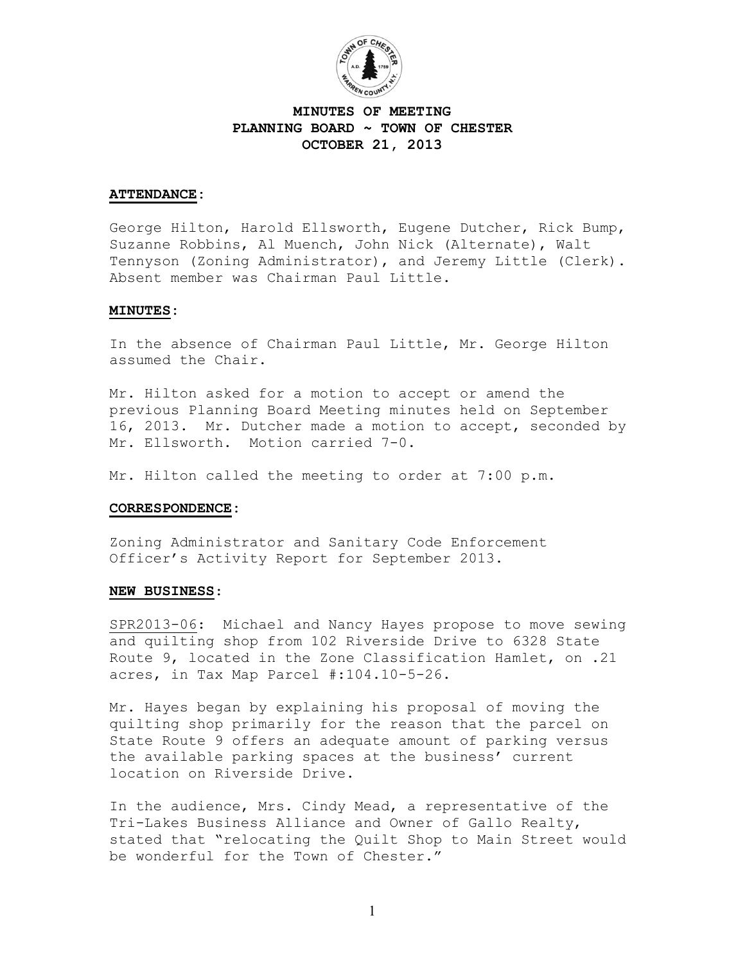

## **MINUTES OF MEETING PLANNING BOARD ~ TOWN OF CHESTER OCTOBER 21, 2013**

### **ATTENDANCE:**

George Hilton, Harold Ellsworth, Eugene Dutcher, Rick Bump, Suzanne Robbins, Al Muench, John Nick (Alternate), Walt Tennyson (Zoning Administrator), and Jeremy Little (Clerk). Absent member was Chairman Paul Little.

#### **MINUTES:**

In the absence of Chairman Paul Little, Mr. George Hilton assumed the Chair.

Mr. Hilton asked for a motion to accept or amend the previous Planning Board Meeting minutes held on September 16, 2013. Mr. Dutcher made a motion to accept, seconded by Mr. Ellsworth. Motion carried 7-0.

Mr. Hilton called the meeting to order at 7:00 p.m.

#### **CORRESPONDENCE:**

Zoning Administrator and Sanitary Code Enforcement Officer's Activity Report for September 2013.

#### **NEW BUSINESS**:

SPR2013-06: Michael and Nancy Hayes propose to move sewing and quilting shop from 102 Riverside Drive to 6328 State Route 9, located in the Zone Classification Hamlet, on .21 acres, in Tax Map Parcel #:104.10-5-26.

Mr. Hayes began by explaining his proposal of moving the quilting shop primarily for the reason that the parcel on State Route 9 offers an adequate amount of parking versus the available parking spaces at the business' current location on Riverside Drive.

In the audience, Mrs. Cindy Mead, a representative of the Tri-Lakes Business Alliance and Owner of Gallo Realty, stated that "relocating the Quilt Shop to Main Street would be wonderful for the Town of Chester."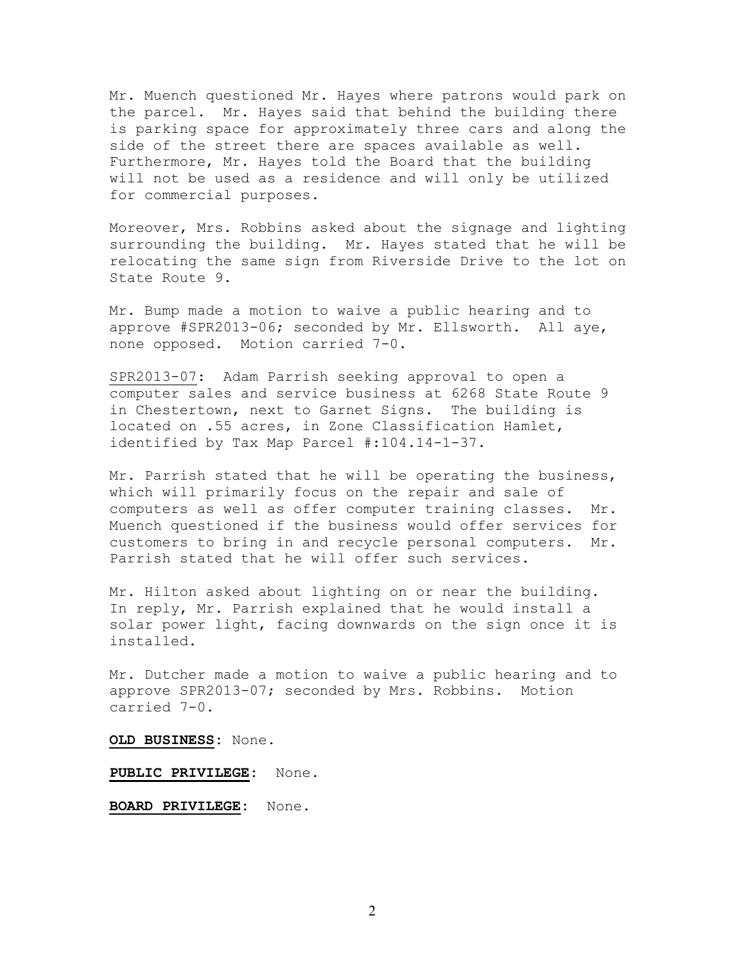Mr. Muench questioned Mr. Hayes where patrons would park on the parcel. Mr. Hayes said that behind the building there is parking space for approximately three cars and along the side of the street there are spaces available as well. Furthermore, Mr. Hayes told the Board that the building will not be used as a residence and will only be utilized for commercial purposes.

Moreover, Mrs. Robbins asked about the signage and lighting surrounding the building. Mr. Hayes stated that he will be relocating the same sign from Riverside Drive to the lot on State Route 9.

Mr. Bump made a motion to waive a public hearing and to approve #SPR2013-06; seconded by Mr. Ellsworth. All aye, none opposed. Motion carried 7-0.

SPR2013-07: Adam Parrish seeking approval to open a computer sales and service business at 6268 State Route 9 in Chestertown, next to Garnet Signs. The building is located on .55 acres, in Zone Classification Hamlet, identified by Tax Map Parcel #:104.14-1-37.

Mr. Parrish stated that he will be operating the business, which will primarily focus on the repair and sale of computers as well as offer computer training classes. Mr. Muench questioned if the business would offer services for customers to bring in and recycle personal computers. Mr. Parrish stated that he will offer such services.

Mr. Hilton asked about lighting on or near the building. In reply, Mr. Parrish explained that he would install a solar power light, facing downwards on the sign once it is installed.

Mr. Dutcher made a motion to waive a public hearing and to approve SPR2013-07; seconded by Mrs. Robbins. Motion carried 7-0.

**OLD BUSINESS:** None.

**PUBLIC PRIVILEGE:** None.

**BOARD PRIVILEGE:** None.